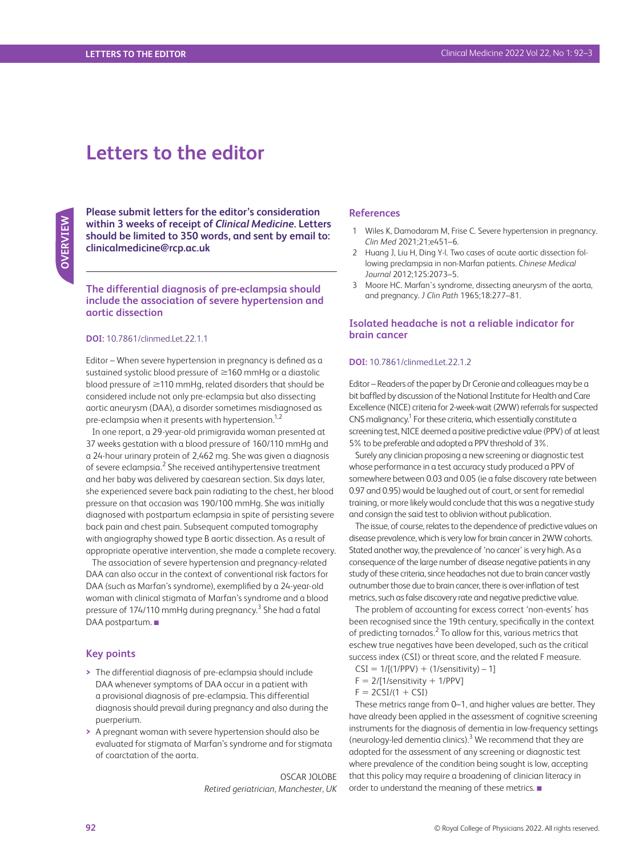# **Letters to the editor**

**OVERVIEW OVERVIEW**

**Please submit letters for the editor's consideration within 3 weeks of receipt of** *Clinical Medicine***. Letters should be limited to 350 words, and sent by email to: [clinicalmedicine@rcp.ac.uk](mailto:clinicalmedicine@rcp.ac.uk)**

**The differential diagnosis of pre-eclampsia should include the association of severe hypertension and aortic dissection**

## **DOI:** 10.7861/clinmed.Let.22.1.1

Editor – When severe hypertension in pregnancy is defined as a sustained systolic blood pressure of ≥160 mmHg or a diastolic blood pressure of ≥110 mmHg, related disorders that should be considered include not only pre-eclampsia but also dissecting aortic aneurysm (DAA), a disorder sometimes misdiagnosed as pre-eclampsia when it presents with hypertension.<sup>1,2</sup>

In one report, a 29-year-old primigravida woman presented at 37 weeks gestation with a blood pressure of 160/110 mmHg and a 24-hour urinary protein of 2,462 mg. She was given a diagnosis of severe eclampsia.<sup>2</sup> She received antihypertensive treatment and her baby was delivered by caesarean section. Six days later, she experienced severe back pain radiating to the chest, her blood pressure on that occasion was 190/100 mmHg. She was initially diagnosed with postpartum eclampsia in spite of persisting severe back pain and chest pain. Subsequent computed tomography with angiography showed type B aortic dissection. As a result of appropriate operative intervention, she made a complete recovery.

The association of severe hypertension and pregnancy-related DAA can also occur in the context of conventional risk factors for DAA (such as Marfan's syndrome), exemplified by a 24-year-old woman with clinical stigmata of Marfan's syndrome and a blood pressure of 174/110 mmHg during pregnancy.<sup>3</sup> She had a fatal DAA postpartum. ■

### **Key points**

- **>** The differential diagnosis of pre-eclampsia should include DAA whenever symptoms of DAA occur in a patient with a provisional diagnosis of pre-eclampsia. This differential diagnosis should prevail during pregnancy and also during the puerperium.
- **>** A pregnant woman with severe hypertension should also be evaluated for stigmata of Marfan's syndrome and for stigmata of coarctation of the aorta.

OSCAR JOLOBE *Retired geriatrician, Manchester, UK*

# **References**

- 1 Wiles K, Damodaram M, Frise C. Severe hypertension in pregnancy. *Clin Med* 2021;21;e451–6.
- 2 Huang J, Liu H, Ding Y-l. Two cases of acute aortic dissection following preclampsia in non-Marfan patients. *Chinese Medical Journal* 2012;125:2073–5.
- 3 Moore HC. Marfan's syndrome, dissecting aneurysm of the aorta, and pregnancy. *J Clin Path* 1965;18:277–81.

# **Isolated headache is not a reliable indicator for brain cancer**

#### **DOI:** 10.7861/clinmed.Let.22.1.2

Editor – Readers of the paper by Dr Ceronie and colleagues may be a bit baffled by discussion of the National Institute for Health and Care Excellence (NICE) criteria for 2-week-wait (2WW) referrals for suspected CNS malignancy.<sup>1</sup> For these criteria, which essentially constitute a screening test, NICE deemed a positive predictive value (PPV) of at least 5% to be preferable and adopted a PPV threshold of 3%.

Surely any clinician proposing a new screening or diagnostic test whose performance in a test accuracy study produced a PPV of somewhere between 0.03 and 0.05 (ie a false discovery rate between 0.97 and 0.95) would be laughed out of court, or sent for remedial training, or more likely would conclude that this was a negative study and consign the said test to oblivion without publication.

The issue, of course, relates to the dependence of predictive values on disease prevalence, which is very low for brain cancer in 2WW cohorts. Stated another way, the prevalence of 'no cancer' is very high. As a consequence of the large number of disease negative patients in any study of these criteria, since headaches not due to brain cancer vastly outnumber those due to brain cancer, there is over-inflation of test metrics, such as false discovery rate and negative predictive value.

The problem of accounting for excess correct 'non-events' has been recognised since the 19th century, specifically in the context of predicting tornados.<sup>2</sup> To allow for this, various metrics that eschew true negatives have been developed, such as the critical success index (CSI) or threat score, and the related F measure.

- $CSI = 1/[(1/PPV) + (1/sensitivity) 1]$
- $F = 2/[1/s$ ensitivity + 1/PPV]
- $F = 2CSI/(1 + CSI)$

These metrics range from 0–1, and higher values are better. They have already been applied in the assessment of cognitive screening instruments for the diagnosis of dementia in low-frequency settings (neurology-led dementia clinics).<sup>3</sup> We recommend that they are adopted for the assessment of any screening or diagnostic test where prevalence of the condition being sought is low, accepting that this policy may require a broadening of clinician literacy in order to understand the meaning of these metrics. ■